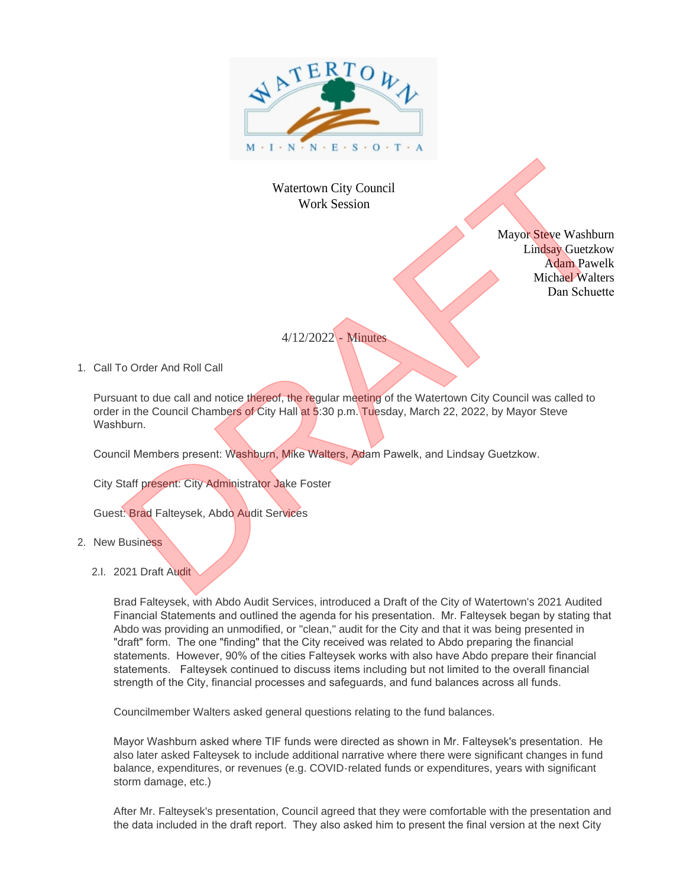

## Watertown City Council Work Session

Mayor Steve Washburn Lindsay Guetzkow Adam Pawelk Michael Walters Dan Schuette

## 4/12/2022 - Minutes

1. Call To Order And Roll Call

Pursuant to due call and notice thereof, the regular meeting of the Watertown City Council was called to order in the Council Chambers of City Hall at 5:30 p.m. Tuesday, March 22, 2022, by Mayor Steve Washburn.

Council Members present: Washburn, Mike Walters, Adam Pawelk, and Lindsay Guetzkow.

City Staff present: City Administrator Jake Foster

Guest: Brad Falteysek, Abdo Audit Services

- 2. New Business
	- 2.I. 2021 Draft Audit

Brad Falteysek, with Abdo Audit Services, introduced a Draft of the City of Watertown's 2021 Audited Financial Statements and outlined the agenda for his presentation. Mr. Falteysek began by stating that Abdo was providing an unmodified, or "clean," audit for the City and that it was being presented in "draft" form. The one "finding" that the City received was related to Abdo preparing the financial statements. However, 90% of the cities Falteysek works with also have Abdo prepare their financial statements. Falteysek continued to discuss items including but not limited to the overall financial strength of the City, financial processes and safeguards, and fund balances across all funds. Waterlows City Council<br>
Work Session<br>
Mayor Selee Watchmare<br>
Mayor Selee Watchmare<br>
Mayor Selee Watchmare<br>
Mayor Selee Watchmare<br>
1. Call To Order And Roll Call<br>
4/12/2022 - Minimips<br>
4/12/2022 - Minimips<br>
4/12/2022 - Mini

Councilmember Walters asked general questions relating to the fund balances.

Mayor Washburn asked where TIF funds were directed as shown in Mr. Falteysek's presentation. He also later asked Falteysek to include additional narrative where there were significant changes in fund balance, expenditures, or revenues (e.g. COVID-related funds or expenditures, years with significant storm damage, etc.)

After Mr. Falteysek's presentation, Council agreed that they were comfortable with the presentation and the data included in the draft report. They also asked him to present the final version at the next City